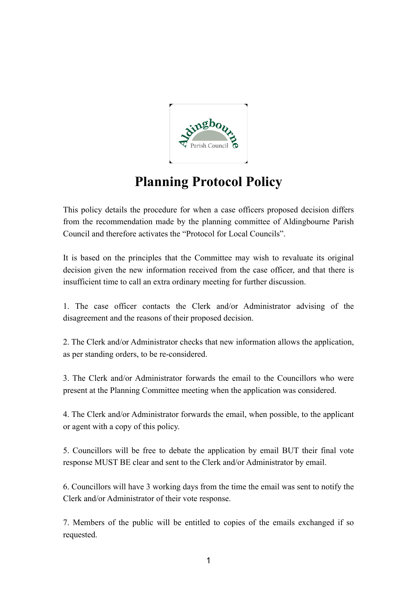

## **Planning Protocol Policy**

This policy details the procedure for when a case officers proposed decision differs from the recommendation made by the planning committee of Aldingbourne Parish Council and therefore activates the "Protocol for Local Councils".

It is based on the principles that the Committee may wish to revaluate its original decision given the new information received from the case officer, and that there is insufficient time to call an extra ordinary meeting for further discussion.

1. The case officer contacts the Clerk and/or Administrator advising of the disagreement and the reasons of their proposed decision.

2. The Clerk and/or Administrator checks that new information allows the application, as per standing orders, to be re-considered.

3. The Clerk and/or Administrator forwards the email to the Councillors who were present at the Planning Committee meeting when the application was considered.

4. The Clerk and/or Administrator forwards the email, when possible, to the applicant or agent with a copy of this policy.

5. Councillors will be free to debate the application by email BUT their final vote response MUST BE clear and sent to the Clerk and/or Administrator by email.

6. Councillors will have 3 working days from the time the email was sent to notify the Clerk and/or Administrator of their vote response.

7. Members of the public will be entitled to copies of the emails exchanged if so requested.